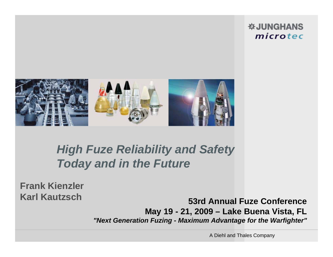#### **※JUNGHANS** microtec



## *High Fuze Reliability and Safety Today and in the Future*

**Frank KienzlerKarl Kautzsch**

**53rd Annual Fuze Conference May 19 - 21, 2009 – Lake Buena Vista, FL**  *"Next Generation Fuzing - Maximum Advantage for the Warfighter"*

A Diehl and Thales Company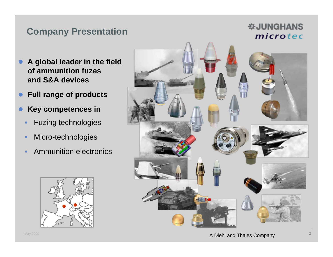### **Company Presentation**

#### *<b>WJUNGHANS* microtec

- $\bullet$  **A global leader in the field of ammunition fuzes and S&A devices**
- $\bullet$ **Full range of products**
- $\bullet$  **Key competences in** 
	- ٠ Fuzing technologies
	- п Micro-technologies
	- ٠ Ammunition electronics



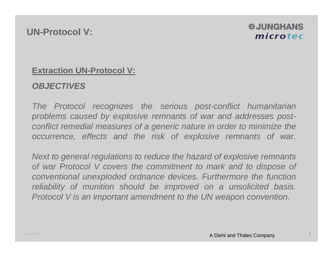#### *DELIVERANS* microtec

#### **Extraction UN-Protocol V:**

#### *OBJECTIVES*

*The Protocol recognizes the serious post-conflict humanitarian problems caused by explosive remnants of war and addresses postconflict remedial measures of a generic nature in order to minimize the occurrence, effects and the risk of explosive remnants of war.* 

*Next to general regulations to reduce the hazard of explosive remnants of war Protocol V covers the commitment to mark and to dispose of conventional unexploded ordnance devices. Furthermore the function reliability of munition should be improved on a unsolicited basis. Protocol V is an important amendment to the UN weapon convention.*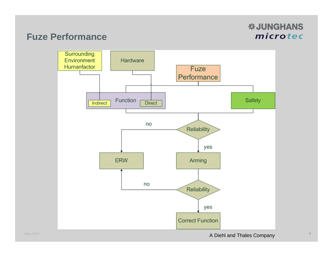#### *<b>WJUNGHANS* microtec

#### **Fuze Performance**

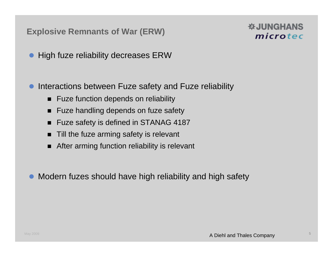#### **Explosive Remnants of War (ERW)**

#### **W.JUNGHANS** microtec

- $\bullet$ High fuze reliability decreases ERW
- $\bullet$  Interactions between Fuze safety and Fuze reliability
	- Fuze function depends on reliability
	- $\blacksquare$ Fuze handling depends on fuze safety
	- $\blacksquare$ Fuze safety is defined in STANAG 4187
	- п Till the fuze arming safety is relevant
	- After arming function reliability is relevant
- $\bullet$ Modern fuzes should have high reliability and high safety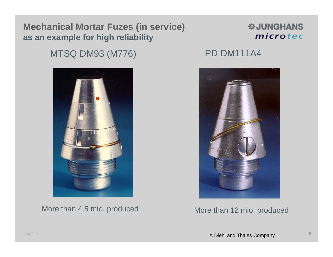#### **Mechanical Mortar Fuzes (in service) as an example for high reliability**

#### *<b>WJUNGHANS* microtec

### MTSQ DM93 (M776) PD DM111A4

More than 4.5 mio. produced More than 12 mio. produced

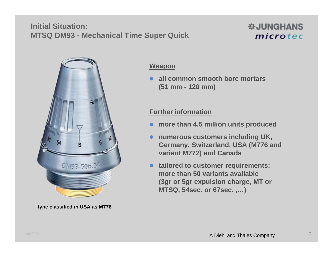#### **Initial Situation:MTSQ DM93 - Mechanical Time Super Quick**





**type classified in USA as M776**

#### **Weapon**

 **all common smooth bore mortars (51 mm - 120 mm)**

#### **Further information**

- $\bullet$ **more than 4.5 million units produced**
- $\bullet$  **numerous customers including UK, Germany, Switzerland, USA (M776 and variant M772) and Canada**
- **tailored to customer requirements: more than 50 variants available (3gr or 5gr expulsion charge, MT or MTSQ, 54sec. or 67sec. ,…)**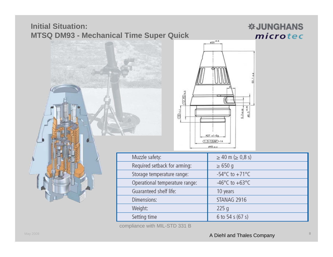#### **Initial Situation: MTSQ DM93 - Mechanical Time Super Quick**

#### *<b>WJUNGHANS* microtec





| Muzzle safety:                 | $\geq$ 40 m ( $\geq$ 0,8 s)          |
|--------------------------------|--------------------------------------|
| Required setback for arming:   | $\geq 650$ g                         |
| Storage temperature range:     | -54 $^{\circ}$ C to +71 $^{\circ}$ C |
| Operational temperature range: | -46°C to +63°C                       |
| Guaranteed shelf life:         | 10 years                             |
| Dimensions:                    | STANAG 2916                          |
| Weight:                        | 225q                                 |
| Setting time                   | 6 to 54 s (67 s)                     |

compliance with MIL-STD 331 B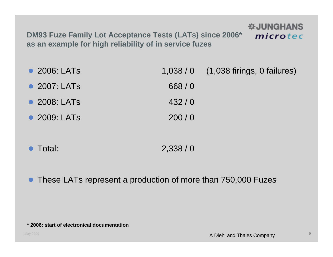**DM93 Fuze Family Lot Acceptance Tests (LATs) since 2006\* as an example for high reliability of in service fuzes**

• 2006: LATs 1,038 / 0 (1,038 firings, 0 failures) 2007: LATs 668 / 0  $\bullet$  2008: LATs 432 / 0  $\bullet$ 2009: LATs 200 / 0

- $\bullet$ Total: 2,338 / 0
- $\bullet$ These LATs represent a production of more than 750,000 Fuzes

**WJUNGHANS** 

microtec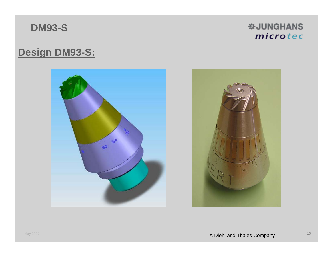**DM93-S**

*<b>WJUNGHANS* microtec

## **Design DM93-S:**



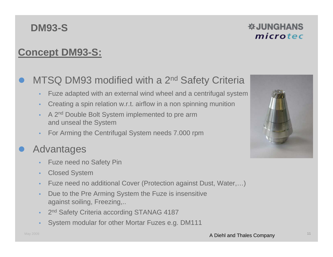## **DM93-S**

#### **☆JUNGHANS** microtec

## **Concept DM93-S:**

#### $\bullet$ MTSQ DM93 modified with a 2<sup>nd</sup> Safety Criteria

- Fuze adapted with an external wind wheel and a centrifugal system
- Creating a spin relation w.r.t. airflow in a non spinning munition
- A 2<sup>nd</sup> Double Bolt System implemented to pre arm and unseal the System
- For Arming the Centrifugal System needs 7.000 rpm

#### $\bullet$ Advantages

- Fuze need no Safety Pin
- Closed System
- Fuze need no additional Cover (Protection against Dust, Water,…)
- Due to the Pre Arming System the Fuze is insensitive against soiling, Freezing,..
- 2<sup>nd</sup> Safety Criteria according STANAG 4187
- System modular for other Mortar Fuzes e.g. DM111

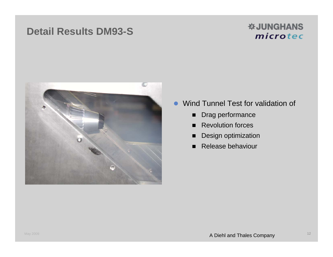## **Detail Results DM93-S**

#### *W***JUNGHANS** microtec



- $\bullet$  Wind Tunnel Test for validation of
	- $\blacksquare$ Drag performance
	- **Revolution forces**
	- $\blacksquare$ Design optimization
	- Release behaviour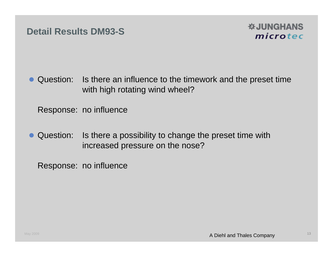

• Question: Is there an influence to the timework and the preset time with high rotating wind wheel?

Response: no influence

 $\bullet$  Question: Is there a possibility to change the preset time with increased pressure on the nose?

Response: no influence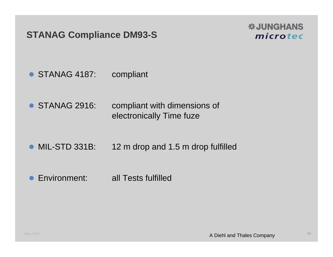### **STANAG Compliance DM93-S**

#### **WJUNGHANS** microtec

- STANAG 4187: compliant
- STANAG 2916: compliant with dimensions of electronically Time fuze
- MIL-STD 331B: 12 m drop and 1.5 m drop fulfilled
- $\bullet$ Environment: all Tests fulfilled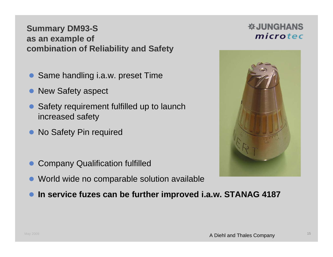#### **Summary DM93-S as an example of combination of Reliability and Safety**

- $\bullet$ Same handling i.a.w. preset Time
- $\bullet$ New Safety aspect
- $\bullet$  Safety requirement fulfilled up to launch increased safety
- $\bullet$ No Safety Pin required
- $\bullet$ Company Qualification fulfilled
- $\bullet$ World wide no comparable solution available
- $\bullet$ **In service fuzes can be further improved i.a.w. STANAG 4187**



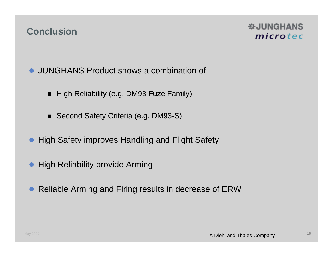#### **Conclusion**

#### **WJUNGHANS** microtec

- JUNGHANS Product shows a combination of
	- $\blacksquare$  High Reliability (e.g. DM93 Fuze Family)
	- Second Safety Criteria (e.g. DM93-S)
- **High Safety improves Handling and Flight Safety**
- $\bullet$ High Reliability provide Arming
- $\bullet$ Reliable Arming and Firing results in decrease of ERW